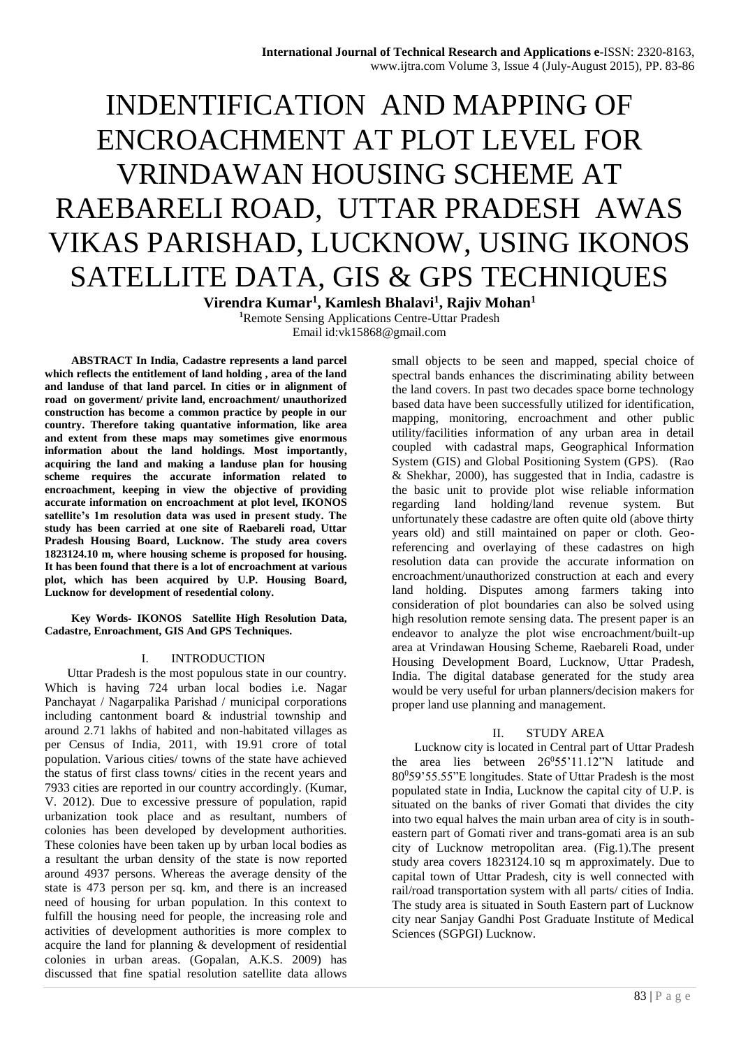# INDENTIFICATION AND MAPPING OF ENCROACHMENT AT PLOT LEVEL FOR VRINDAWAN HOUSING SCHEME AT RAEBARELI ROAD, UTTAR PRADESH AWAS VIKAS PARISHAD, LUCKNOW, USING IKONOS SATELLITE DATA, GIS & GPS TECHNIQUES

**Virendra Kumar<sup>1</sup> , Kamlesh Bhalavi<sup>1</sup> , Rajiv Mohan<sup>1</sup> <sup>1</sup>**Remote Sensing Applications Centre-Uttar Pradesh Email id:vk15868@gmail.com

**ABSTRACT In India, Cadastre represents a land parcel which reflects the entitlement of land holding , area of the land and landuse of that land parcel. In cities or in alignment of road on goverment/ privite land, encroachment/ unauthorized construction has become a common practice by people in our country. Therefore taking quantative information, like area and extent from these maps may sometimes give enormous information about the land holdings. Most importantly, acquiring the land and making a landuse plan for housing scheme requires the accurate information related to encroachment, keeping in view the objective of providing accurate information on encroachment at plot level, IKONOS satellite's 1m resolution data was used in present study. The study has been carried at one site of Raebareli road, Uttar Pradesh Housing Board, Lucknow. The study area covers 1823124.10 m, where housing scheme is proposed for housing. It has been found that there is a lot of encroachment at various plot, which has been acquired by U.P. Housing Board, Lucknow for development of resedential colony.**

**Key Words- IKONOS Satellite High Resolution Data, Cadastre, Enroachment, GIS And GPS Techniques.**

#### I. INTRODUCTION

Uttar Pradesh is the most populous state in our country. Which is having 724 urban local bodies i.e. Nagar Panchayat / Nagarpalika Parishad / municipal corporations including cantonment board & industrial township and around 2.71 lakhs of habited and non-habitated villages as per Census of India, 2011, with 19.91 crore of total population. Various cities/ towns of the state have achieved the status of first class towns/ cities in the recent years and 7933 cities are reported in our country accordingly. (Kumar, V. 2012). Due to excessive pressure of population, rapid urbanization took place and as resultant, numbers of colonies has been developed by development authorities. These colonies have been taken up by urban local bodies as a resultant the urban density of the state is now reported around 4937 persons. Whereas the average density of the state is 473 person per sq. km, and there is an increased need of housing for urban population. In this context to fulfill the housing need for people, the increasing role and activities of development authorities is more complex to acquire the land for planning & development of residential colonies in urban areas. (Gopalan, A.K.S. 2009) has discussed that fine spatial resolution satellite data allows

small objects to be seen and mapped, special choice of spectral bands enhances the discriminating ability between the land covers. In past two decades space borne technology based data have been successfully utilized for identification, mapping, monitoring, encroachment and other public utility/facilities information of any urban area in detail coupled with cadastral maps, Geographical Information System (GIS) and Global Positioning System (GPS). (Rao & Shekhar, 2000), has suggested that in India, cadastre is the basic unit to provide plot wise reliable information regarding land holding/land revenue system. But unfortunately these cadastre are often quite old (above thirty years old) and still maintained on paper or cloth. Georeferencing and overlaying of these cadastres on high resolution data can provide the accurate information on encroachment/unauthorized construction at each and every land holding. Disputes among farmers taking into consideration of plot boundaries can also be solved using high resolution remote sensing data. The present paper is an endeavor to analyze the plot wise encroachment/built-up area at Vrindawan Housing Scheme, Raebareli Road, under Housing Development Board, Lucknow, Uttar Pradesh, India. The digital database generated for the study area would be very useful for urban planners/decision makers for proper land use planning and management.

#### II. STUDY AREA

Lucknow city is located in Central part of Uttar Pradesh the area lies between 26°55'11.12"N latitude and 80<sup>0</sup>59'55.55"E longitudes. State of Uttar Pradesh is the most populated state in India, Lucknow the capital city of U.P. is situated on the banks of river Gomati that divides the city into two equal halves the main urban area of city is in southeastern part of Gomati river and trans-gomati area is an sub city of Lucknow metropolitan area. (Fig.1).The present study area covers 1823124.10 sq m approximately. Due to capital town of Uttar Pradesh, city is well connected with rail/road transportation system with all parts/ cities of India. The study area is situated in South Eastern part of Lucknow city near Sanjay Gandhi Post Graduate Institute of Medical Sciences (SGPGI) Lucknow.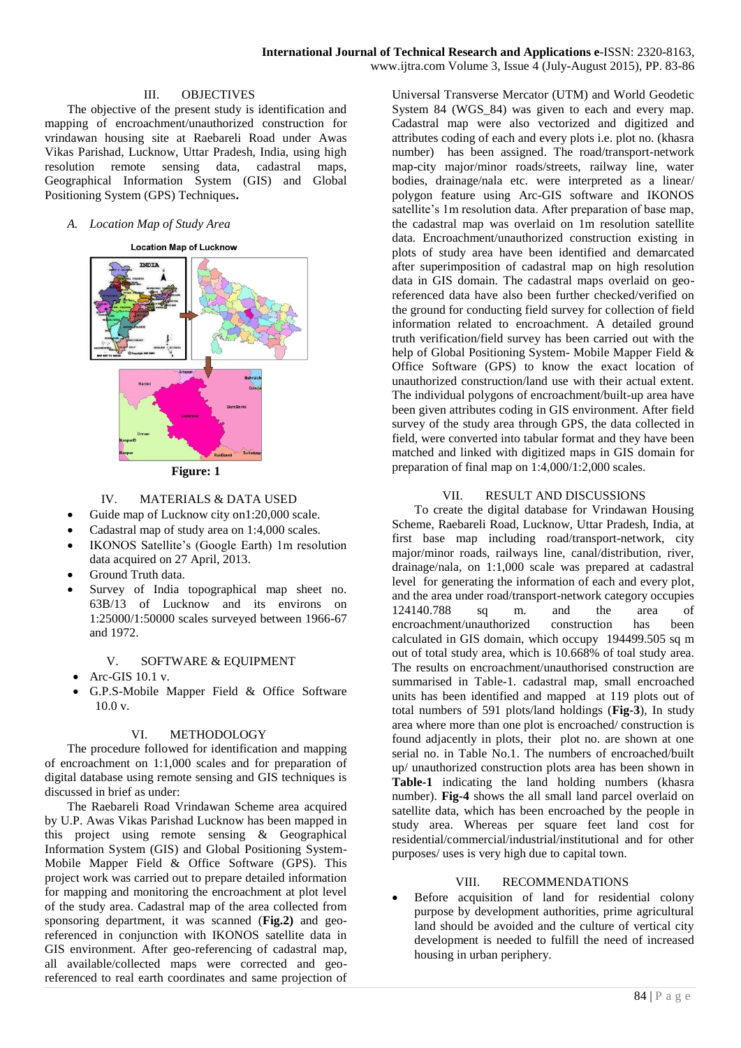### III. OBJECTIVES

The objective of the present study is identification and mapping of encroachment/unauthorized construction for vrindawan housing site at Raebareli Road under Awas Vikas Parishad, Lucknow, Uttar Pradesh, India, using high resolution remote sensing data, cadastral maps, Geographical Information System (GIS) and Global Positioning System (GPS) Techniques**.**

#### *A. Location Map of Study Area*





## IV. MATERIALS & DATA USED

- Guide map of Lucknow city on1:20,000 scale.
- Cadastral map of study area on 1:4,000 scales.
- IKONOS Satellite's (Google Earth) 1m resolution data acquired on 27 April, 2013.
- Ground Truth data.
- Survey of India topographical map sheet no. 63B/13 of Lucknow and its environs on 1:25000/1:50000 scales surveyed between 1966-67 and 1972.

### V. SOFTWARE & EQUIPMENT

- Arc-GIS 10.1 v.
- G.P.S-Mobile Mapper Field & Office Software 10.0 v.

#### VI. METHODOLOGY

The procedure followed for identification and mapping of encroachment on 1:1,000 scales and for preparation of digital database using remote sensing and GIS techniques is discussed in brief as under:

The Raebareli Road Vrindawan Scheme area acquired by U.P. Awas Vikas Parishad Lucknow has been mapped in this project using remote sensing & Geographical Information System (GIS) and Global Positioning System-Mobile Mapper Field & Office Software (GPS). This project work was carried out to prepare detailed information for mapping and monitoring the encroachment at plot level of the study area. Cadastral map of the area collected from sponsoring department, it was scanned (**Fig.2)** and georeferenced in conjunction with IKONOS satellite data in GIS environment. After geo-referencing of cadastral map, all available/collected maps were corrected and georeferenced to real earth coordinates and same projection of

Universal Transverse Mercator (UTM) and World Geodetic System 84 (WGS 84) was given to each and every map. Cadastral map were also vectorized and digitized and attributes coding of each and every plots i.e. plot no. (khasra number) has been assigned. The road/transport-network map-city major/minor roads/streets, railway line, water bodies, drainage/nala etc. were interpreted as a linear/ polygon feature using Arc-GIS software and IKONOS satellite's 1m resolution data. After preparation of base map, the cadastral map was overlaid on 1m resolution satellite data. Encroachment/unauthorized construction existing in plots of study area have been identified and demarcated after superimposition of cadastral map on high resolution data in GIS domain. The cadastral maps overlaid on georeferenced data have also been further checked/verified on the ground for conducting field survey for collection of field information related to encroachment. A detailed ground truth verification/field survey has been carried out with the help of Global Positioning System- Mobile Mapper Field & Office Software (GPS) to know the exact location of unauthorized construction/land use with their actual extent. The individual polygons of encroachment/built-up area have been given attributes coding in GIS environment. After field survey of the study area through GPS, the data collected in field, were converted into tabular format and they have been matched and linked with digitized maps in GIS domain for preparation of final map on 1:4,000/1:2,000 scales.

### VII. RESULT AND DISCUSSIONS

To create the digital database for Vrindawan Housing Scheme, Raebareli Road, Lucknow, Uttar Pradesh, India, at first base map including road/transport-network, city major/minor roads, railways line, canal/distribution, river, drainage/nala, on 1:1,000 scale was prepared at cadastral level for generating the information of each and every plot, and the area under road/transport-network category occupies 124140.788 sq m. and the area of encroachment/unauthorized construction has been calculated in GIS domain, which occupy 194499.505 sq m out of total study area, which is 10.668% of toal study area. The results on encroachment/unauthorised construction are summarised in Table-1. cadastral map, small encroached units has been identified and mapped at 119 plots out of total numbers of 591 plots/land holdings (**Fig-3**), In study area where more than one plot is encroached/ construction is found adjacently in plots, their plot no. are shown at one serial no. in Table No.1. The numbers of encroached/built up/ unauthorized construction plots area has been shown in **Table-1** indicating the land holding numbers (khasra number). **Fig-4** shows the all small land parcel overlaid on satellite data, which has been encroached by the people in study area. Whereas per square feet land cost for residential/commercial/industrial/institutional and for other purposes/ uses is very high due to capital town.

### VIII. RECOMMENDATIONS

 Before acquisition of land for residential colony purpose by development authorities, prime agricultural land should be avoided and the culture of vertical city development is needed to fulfill the need of increased housing in urban periphery.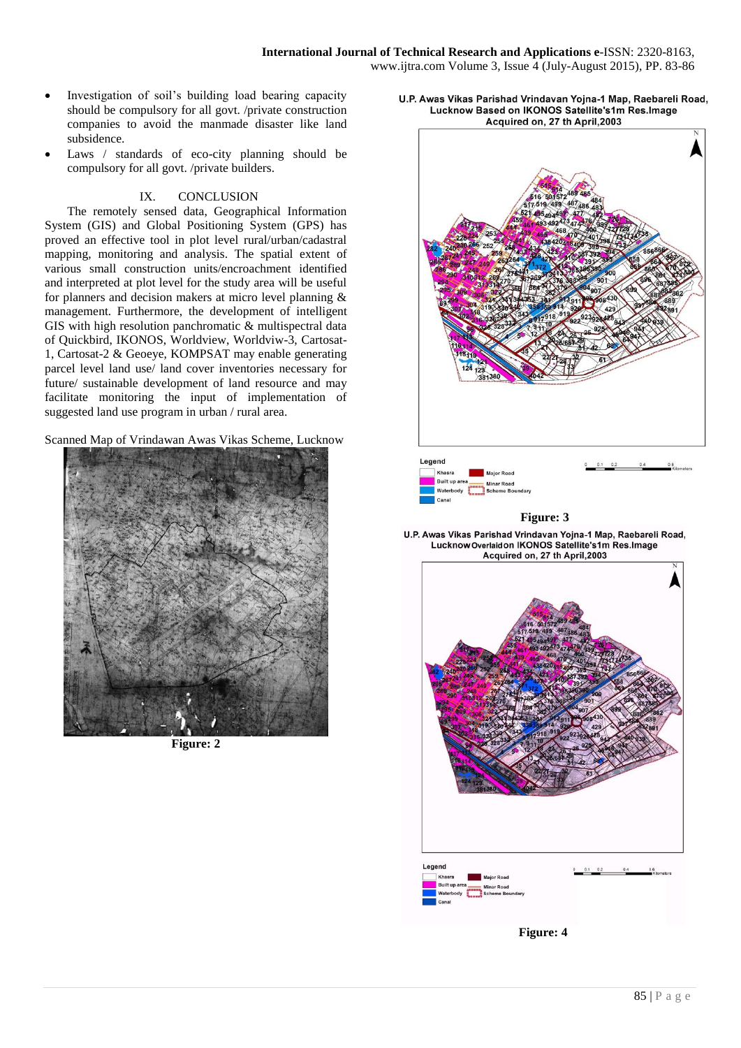#### **International Journal of Technical Research and Applications e**-ISSN: 2320-8163, www.ijtra.com Volume 3, Issue 4 (July-August 2015), PP. 83-86

- Investigation of soil's building load bearing capacity should be compulsory for all govt. /private construction companies to avoid the manmade disaster like land subsidence.
- Laws / standards of eco-city planning should be compulsory for all govt. /private builders.

#### IX. CONCLUSION

The remotely sensed data, Geographical Information System (GIS) and Global Positioning System (GPS) has proved an effective tool in plot level rural/urban/cadastral mapping, monitoring and analysis. The spatial extent of various small construction units/encroachment identified and interpreted at plot level for the study area will be useful for planners and decision makers at micro level planning & management. Furthermore, the development of intelligent GIS with high resolution panchromatic & multispectral data of Quickbird, IKONOS, Worldview, Worldviw-3, Cartosat-1, Cartosat-2 & Geoeye, KOMPSAT may enable generating parcel level land use/ land cover inventories necessary for future/ sustainable development of land resource and may facilitate monitoring the input of implementation of suggested land use program in urban / rural area.

Scanned Map of Vrindawan Awas Vikas Scheme, Lucknow



**Figure: 2**

U.P. Awas Vikas Parishad Vrindavan Yojna-1 Map, Raebareli Road, Lucknow Based on IKONOS Satellite's1m Res.Image Acquired on, 27 th April, 2003





**Figure: 4**